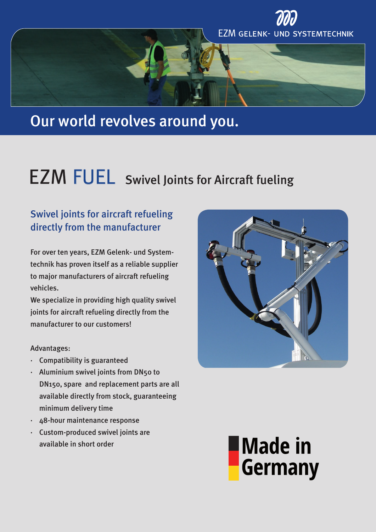

# Our world revolves around you.

# FUEL Swivel Joints for Aircraft fueling

## Swivel joints for aircraft refueling directly from the manufacturer

For over ten years, EZM Gelenk- und Systemtechnik has proven itself as a reliable supplier to major manufacturers of aircraft refueling vehicles.

We specialize in providing high quality swivel joints for aircraft refueling directly from the manufacturer to our customers!

### Advantages:

- · Compatibility is guaranteed
- · Aluminium swivel joints from DN50 to DN150, spare and replacement parts are all available directly from stock, guaranteeing minimum delivery time
- · 48-hour maintenance response
- · Custom-produced swivel joints are available in short order